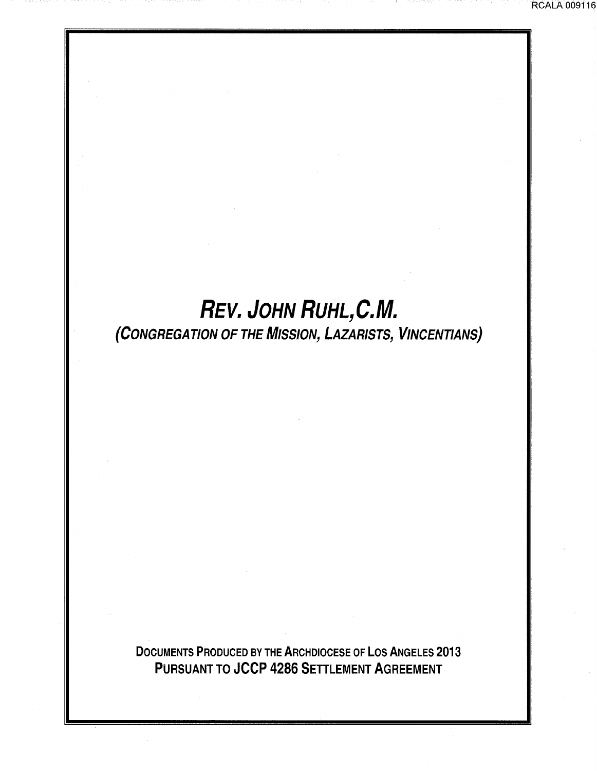# **REV. JOHN RUHL,C.M.**

## (CONGREGATION OF THE MISSION, LAZARISTS, VINCENTIANS}

DOCUMENTS PRODUCED BY THE ARCHDIOCESE OF LOS ANGELES 2013 PURSUANT TO JCCP 4286 SETTLEMENT AGREEMENT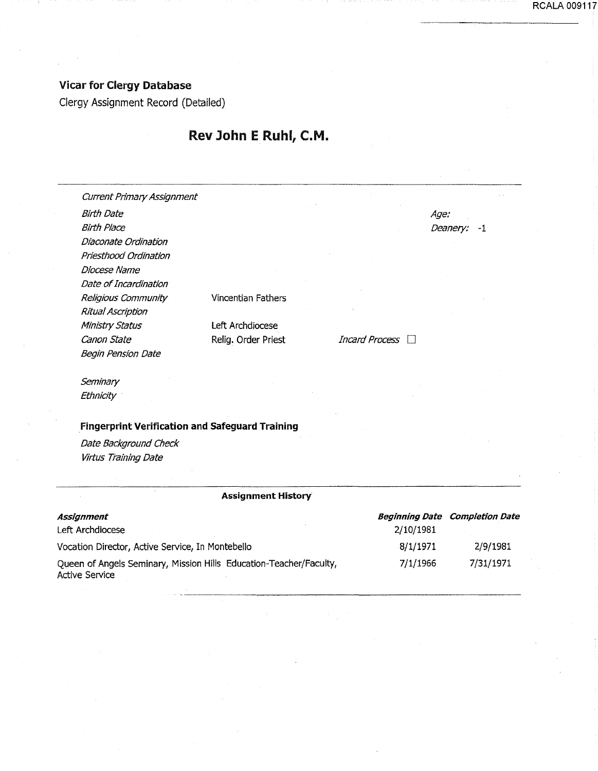#### Vicar for Clergy Database

Clergy Assignment Record (Detailed)

#### Rev John E Ruhl, C.M.

| <b>Current Primary Assignment</b>                                  |                           |                       |                                       |          |
|--------------------------------------------------------------------|---------------------------|-----------------------|---------------------------------------|----------|
| <b>Birth Date</b>                                                  |                           |                       | Age:                                  |          |
| <b>Birth Place</b>                                                 |                           |                       | Deanery:                              | -1       |
| Diaconate Ordination                                               |                           |                       |                                       |          |
| Priesthood Ordination                                              |                           |                       |                                       |          |
| Diocese Name                                                       |                           |                       |                                       |          |
| Date of Incardination                                              |                           |                       |                                       |          |
| Religious Community                                                | Vincentian Fathers        |                       |                                       |          |
| Ritual Ascription                                                  |                           |                       |                                       |          |
| Ministry Status                                                    | Left Archdiocese          |                       |                                       |          |
| Canon State                                                        | Relig. Order Priest       | <b>Incard Process</b> |                                       |          |
| <b>Begin Pension Date</b>                                          |                           |                       |                                       |          |
| Seminary                                                           |                           |                       |                                       |          |
| Ethnicity                                                          |                           |                       |                                       |          |
| <b>Fingerprint Verification and Safeguard Training</b>             |                           |                       |                                       |          |
| Date Background Check                                              |                           |                       |                                       |          |
| Virtus Training Date                                               |                           |                       |                                       |          |
|                                                                    | <b>Assignment History</b> |                       |                                       |          |
|                                                                    |                           |                       |                                       |          |
| Assignment                                                         | 2/10/1981                 |                       | <b>Beginning Date Completion Date</b> |          |
|                                                                    | Left Archdiocese          |                       |                                       |          |
| Vocation Director, Active Service, In Montebello                   |                           | 8/1/1971              |                                       | 2/9/1981 |
| Queen of Angels Seminary, Mission Hills Education-Teacher/Faculty, | 7/1/1966                  |                       | 7/31/1971                             |          |

Active Service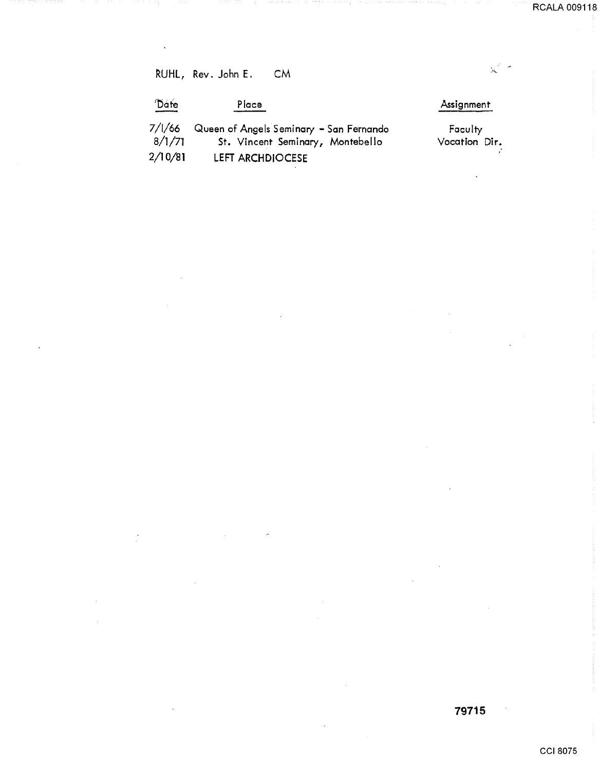$\mathbb{R}^{2\times 2}$ 

RUHL, Rev. John E. CM

 $\sim$   $\sim$ 

 $\frac{1}{2}$ 

 $\ddot{\phantom{0}}$ 

 $\hat{\boldsymbol{\beta}}$ 

÷

| Date             | Place                                                                       | Assignment               |
|------------------|-----------------------------------------------------------------------------|--------------------------|
| 7/1/66<br>8/1/71 | Queen of Angels Seminary - San Fernando<br>St. Vincent Seminary, Montebello | Faculty<br>Vocation Dir. |
| 2/10/81          | LEFT ARCHDIOCESE                                                            |                          |

 $\overline{\phantom{a}}$ 

**79715** 

 $\overline{\phantom{a}}$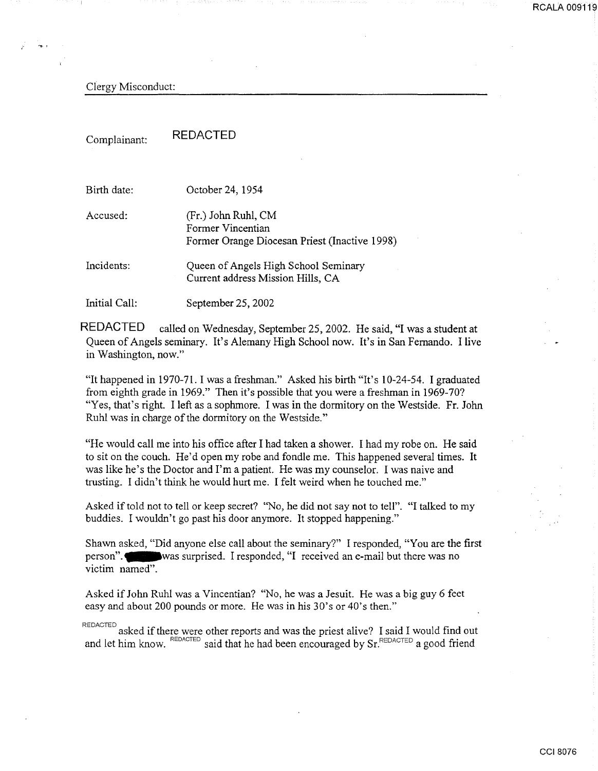Clergy Misconduct:

Complainant: REDACTED

| Birth date:   | October 24, 1954                                                                          |
|---------------|-------------------------------------------------------------------------------------------|
| Accused:      | (Fr.) John Ruhl, CM<br>Former Vincentian<br>Former Orange Diocesan Priest (Inactive 1998) |
| Incidents:    | Queen of Angels High School Seminary<br>Current address Mission Hills, CA                 |
| Initial Call: | September 25, 2002                                                                        |

REDACTED called on Wednesday, September 25, 2002. He said, "I was a student at Queen of Angels seminary. It's Alemany High School now. It's in San Fernando. I live in Washington, now."

"It happened in 1970-7l. I was a freshman." Asked his birth "It's 10-24-54. I graduated from eighth grade in 1969." Then it's possible that you were a freshman in 1969-70? "Yes, that's right. I left as a sophmore. I was in the dormitory on the Westside. Fr. John Ruhl was in charge of the dormitory on the Westside."

"He would call me into his office after I had taken a shower. I had my robe on. He said to sit on the couch. He'd open my robe and fondle me. This happened several times. It was like he's the Doctor and I'm a patient. He was my counselor. I was naive and trusting. I didn't think he would hurt me. I felt weird when he touched me."

Asked if told not to tell or keep secret? "No, he did not say not to tell". "I talked to my buddies. I wouldn't go past his door anymore. It stopped happening."

Shawn asked, "Did anyone else call about the seminary?" I responded, "You are the first person". was surprised. I responded, "I received an e-mail but there was no victim named".

Asked if John Ruhl was a Vincentian? "No, he was a Jesuit. He was a big guy 6 feet easy and about 200 pounds or more. He was in his 30's or 40's then."

REDACTED asked if there were other reports and was the priest alive? I said I would find out and let him know. REDACTED said that he had been encouraged by Sr. REDACTED a good friend

RCALA 009119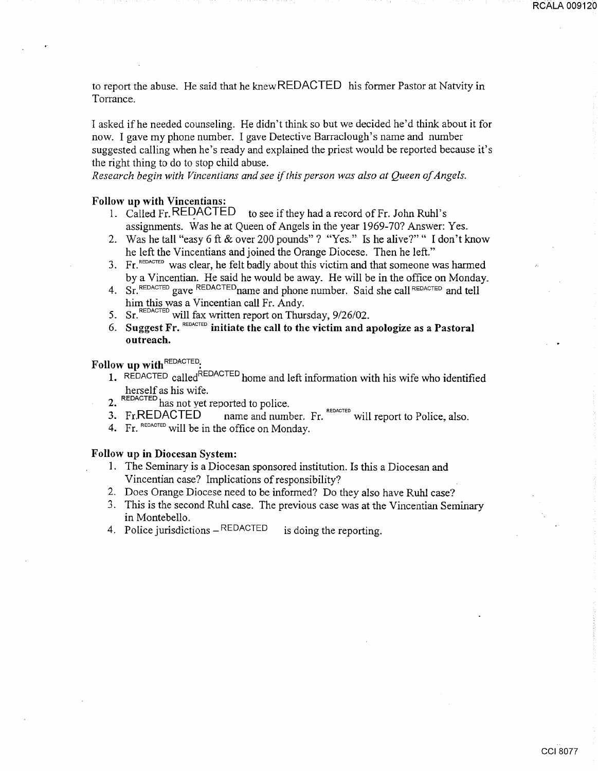to report the abuse. He said that he knew REDACTED his former Pastor at Natvity in Torrance.

I asked if he needed counseling. He didn't think so but we decided he'd think about it for now. I gave my phone number. I gave Detective Barraclough's name and number suggested calling when he's ready and explained the priest would be reported because it's the right thing to do to stop child abuse.

*Research begin with Vincentians and see* if *this person was also at Queen of Angels.* 

## Follow up with Vincentians:<br>1. Called Fr. REDACTED

- to see if they had a record of Fr. John Ruhl's assignments. Was he at Queen of Angels in the year 1969-70? Answer: Yes.
- 2. Was he tall "easy 6ft & over 200 pounds"? "Yes." Is he alive?"" I don't know he left the Vincentians and joined the Orange Diocese. Then he left."
- 3. Fr.  $REDACTED$  was clear, he felt badly about this victim and that someone was harmed by a Vincentian. He said he would be away. He will be in the office on Monday.
- 4. Sr. REDACTED gave REDACTED name and phone number. Said she call REDACTED and tell him this was a Vincentian call Fr. Andy.<br>5.  $\text{Sr.}^{\text{REDACTED}}$  will fax written report on Thursday, 9/26/02.
- 
- 6. Suggest Fr.  $REDACTED$  initiate the call to the victim and apologize as a Pastoral outreach.

Follow up with REDACTED:

- 1. REDACTED called<sup>REDACTED</sup> home and left information with his wife who identified herself as his wife.
- 2.  $REDACTERD$  has not yet reported to police.<br>3. Fr.REDACTED name and number
- 3. Fr. REDACTED hame and number. Fr.  $R_{\text{EDACTED}}$  will report to Police, also.
- 4. Fr. REDACTED will be in the office on Monday.

#### Follow up in Diocesan System:

- 1. The Seminary is a Diocesan sponsored institution. Is this a Diocesan and Vincentian case? Implications of responsibility?
- 2. Does Orange Diocese need to be informed? Do they also have Ruhl case?
- 3. This is the second Ruhl case. The previous case was at the Vincentian Seminary in Montebello.
- 4. Police jurisdictions  $-REDACTED$  is doing the reporting.